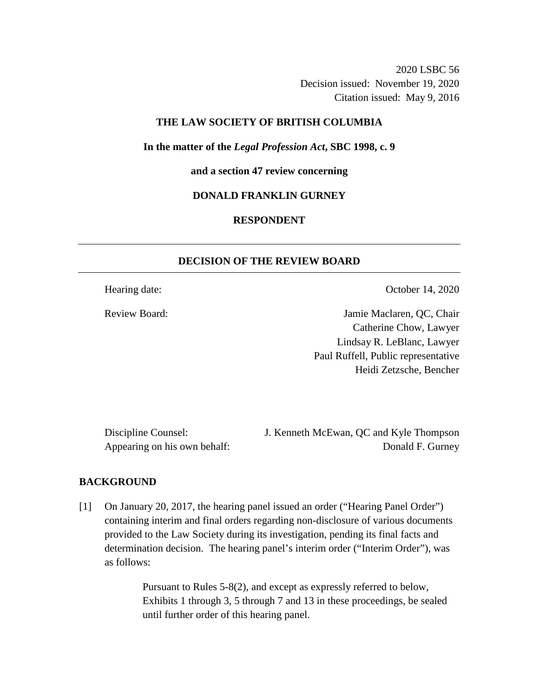2020 LSBC 56 Decision issued: November 19, 2020 Citation issued: May 9, 2016

# **THE LAW SOCIETY OF BRITISH COLUMBIA**

**In the matter of the** *Legal Profession Act***, SBC 1998, c. 9** 

**and a section 47 review concerning**

### **DONALD FRANKLIN GURNEY**

# **RESPONDENT**

# **DECISION OF THE REVIEW BOARD**

Hearing date: October 14, 2020

Review Board: Jamie Maclaren, QC, Chair Catherine Chow, Lawyer Lindsay R. LeBlanc, Lawyer Paul Ruffell, Public representative Heidi Zetzsche, Bencher

Discipline Counsel: J. Kenneth McEwan, QC and Kyle Thompson Appearing on his own behalf: Donald F. Gurney

#### **BACKGROUND**

[1] On January 20, 2017, the hearing panel issued an order ("Hearing Panel Order") containing interim and final orders regarding non-disclosure of various documents provided to the Law Society during its investigation, pending its final facts and determination decision. The hearing panel's interim order ("Interim Order"), was as follows:

> Pursuant to Rules 5-8(2), and except as expressly referred to below, Exhibits 1 through 3, 5 through 7 and 13 in these proceedings, be sealed until further order of this hearing panel.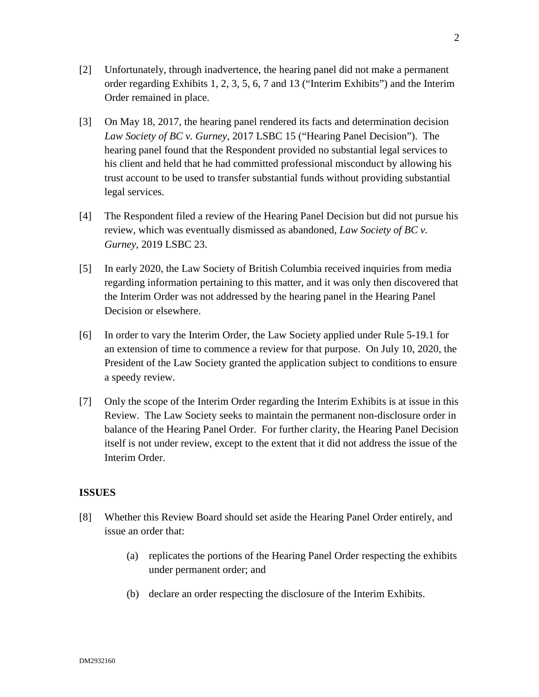- [2] Unfortunately, through inadvertence, the hearing panel did not make a permanent order regarding Exhibits 1, 2, 3, 5, 6, 7 and 13 ("Interim Exhibits") and the Interim Order remained in place.
- [3] On May 18, 2017, the hearing panel rendered its facts and determination decision *Law Society of BC v. Gurney*, 2017 LSBC 15 ("Hearing Panel Decision"). The hearing panel found that the Respondent provided no substantial legal services to his client and held that he had committed professional misconduct by allowing his trust account to be used to transfer substantial funds without providing substantial legal services.
- [4] The Respondent filed a review of the Hearing Panel Decision but did not pursue his review, which was eventually dismissed as abandoned, *Law Society of BC v. Gurney*, 2019 LSBC 23.
- [5] In early 2020, the Law Society of British Columbia received inquiries from media regarding information pertaining to this matter, and it was only then discovered that the Interim Order was not addressed by the hearing panel in the Hearing Panel Decision or elsewhere.
- [6] In order to vary the Interim Order, the Law Society applied under Rule 5-19.1 for an extension of time to commence a review for that purpose. On July 10, 2020, the President of the Law Society granted the application subject to conditions to ensure a speedy review.
- [7] Only the scope of the Interim Order regarding the Interim Exhibits is at issue in this Review. The Law Society seeks to maintain the permanent non-disclosure order in balance of the Hearing Panel Order. For further clarity, the Hearing Panel Decision itself is not under review, except to the extent that it did not address the issue of the Interim Order.

# **ISSUES**

- [8] Whether this Review Board should set aside the Hearing Panel Order entirely, and issue an order that:
	- (a) replicates the portions of the Hearing Panel Order respecting the exhibits under permanent order; and
	- (b) declare an order respecting the disclosure of the Interim Exhibits.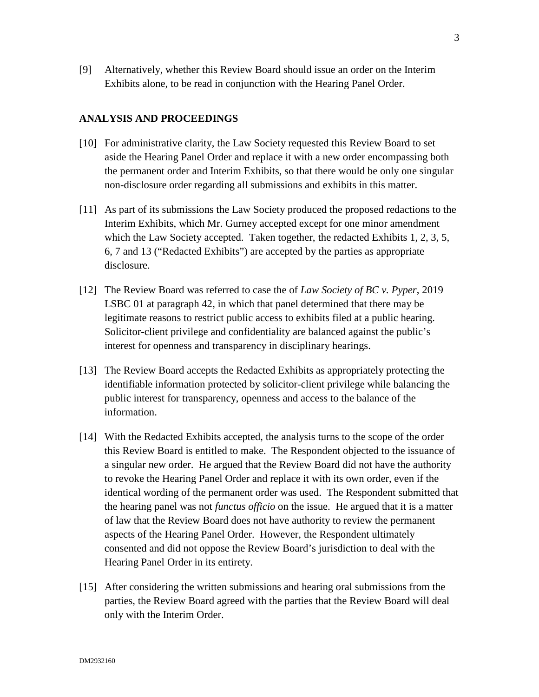[9] Alternatively, whether this Review Board should issue an order on the Interim Exhibits alone, to be read in conjunction with the Hearing Panel Order.

#### **ANALYSIS AND PROCEEDINGS**

- [10] For administrative clarity, the Law Society requested this Review Board to set aside the Hearing Panel Order and replace it with a new order encompassing both the permanent order and Interim Exhibits, so that there would be only one singular non-disclosure order regarding all submissions and exhibits in this matter.
- [11] As part of its submissions the Law Society produced the proposed redactions to the Interim Exhibits, which Mr. Gurney accepted except for one minor amendment which the Law Society accepted. Taken together, the redacted Exhibits 1, 2, 3, 5, 6, 7 and 13 ("Redacted Exhibits") are accepted by the parties as appropriate disclosure.
- [12] The Review Board was referred to case the of *Law Society of BC v. Pyper*, 2019 LSBC 01 at paragraph 42, in which that panel determined that there may be legitimate reasons to restrict public access to exhibits filed at a public hearing. Solicitor-client privilege and confidentiality are balanced against the public's interest for openness and transparency in disciplinary hearings.
- [13] The Review Board accepts the Redacted Exhibits as appropriately protecting the identifiable information protected by solicitor-client privilege while balancing the public interest for transparency, openness and access to the balance of the information.
- [14] With the Redacted Exhibits accepted, the analysis turns to the scope of the order this Review Board is entitled to make. The Respondent objected to the issuance of a singular new order. He argued that the Review Board did not have the authority to revoke the Hearing Panel Order and replace it with its own order, even if the identical wording of the permanent order was used. The Respondent submitted that the hearing panel was not *functus officio* on the issue. He argued that it is a matter of law that the Review Board does not have authority to review the permanent aspects of the Hearing Panel Order. However, the Respondent ultimately consented and did not oppose the Review Board's jurisdiction to deal with the Hearing Panel Order in its entirety.
- [15] After considering the written submissions and hearing oral submissions from the parties, the Review Board agreed with the parties that the Review Board will deal only with the Interim Order.